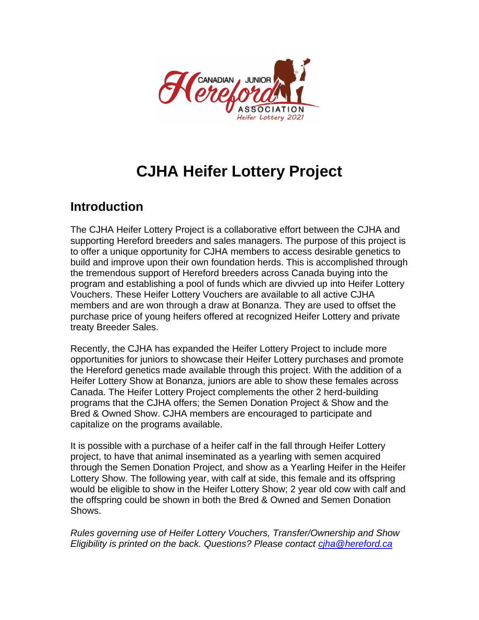

## **CJHA Heifer Lottery Project**

## **Introduction**

The CJHA Heifer Lottery Project is a collaborative effort between the CJHA and supporting Hereford breeders and sales managers. The purpose of this project is to offer a unique opportunity for CJHA members to access desirable genetics to build and improve upon their own foundation herds. This is accomplished through the tremendous support of Hereford breeders across Canada buying into the program and establishing a pool of funds which are divvied up into Heifer Lottery Vouchers. These Heifer Lottery Vouchers are available to all active CJHA members and are won through a draw at Bonanza. They are used to offset the purchase price of young heifers offered at recognized Heifer Lottery and private treaty Breeder Sales.

Recently, the CJHA has expanded the Heifer Lottery Project to include more opportunities for juniors to showcase their Heifer Lottery purchases and promote the Hereford genetics made available through this project. With the addition of a Heifer Lottery Show at Bonanza, juniors are able to show these females across Canada. The Heifer Lottery Project complements the other 2 herd-building programs that the CJHA offers; the Semen Donation Project & Show and the Bred & Owned Show. CJHA members are encouraged to participate and capitalize on the programs available.

It is possible with a purchase of a heifer calf in the fall through Heifer Lottery project, to have that animal inseminated as a yearling with semen acquired through the Semen Donation Project, and show as a Yearling Heifer in the Heifer Lottery Show. The following year, with calf at side, this female and its offspring would be eligible to show in the Heifer Lottery Show; 2 year old cow with calf and the offspring could be shown in both the Bred & Owned and Semen Donation Shows.

*Rules governing use of Heifer Lottery Vouchers, Transfer/Ownership and Show Eligibility is printed on the back. Questions? Please contact [cjha@hereford.ca](mailto:cjha@hereford.ca)*